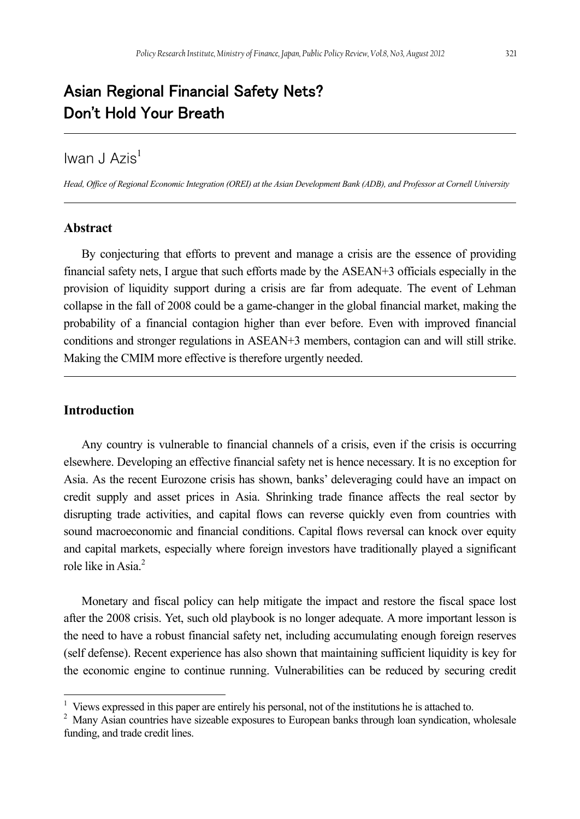# Asian Regional Financial Safety Nets? Don't Hold Your Breath

# Iwan J Azis<sup>1</sup>

*Head, Office of Regional Economic Integration (OREI) at the Asian Development Bank (ADB), and Professor at Cornell University* 

### **Abstract**

By conjecturing that efforts to prevent and manage a crisis are the essence of providing financial safety nets, I argue that such efforts made by the ASEAN+3 officials especially in the provision of liquidity support during a crisis are far from adequate. The event of Lehman collapse in the fall of 2008 could be a game-changer in the global financial market, making the probability of a financial contagion higher than ever before. Even with improved financial conditions and stronger regulations in ASEAN+3 members, contagion can and will still strike. Making the CMIM more effective is therefore urgently needed.

### **Introduction**

l

Any country is vulnerable to financial channels of a crisis, even if the crisis is occurring elsewhere. Developing an effective financial safety net is hence necessary. It is no exception for Asia. As the recent Eurozone crisis has shown, banks' deleveraging could have an impact on credit supply and asset prices in Asia. Shrinking trade finance affects the real sector by disrupting trade activities, and capital flows can reverse quickly even from countries with sound macroeconomic and financial conditions. Capital flows reversal can knock over equity and capital markets, especially where foreign investors have traditionally played a significant role like in Asia<sup>2</sup>

Monetary and fiscal policy can help mitigate the impact and restore the fiscal space lost after the 2008 crisis. Yet, such old playbook is no longer adequate. A more important lesson is the need to have a robust financial safety net, including accumulating enough foreign reserves (self defense). Recent experience has also shown that maintaining sufficient liquidity is key for the economic engine to continue running. Vulnerabilities can be reduced by securing credit

<sup>&</sup>lt;sup>1</sup> Views expressed in this paper are entirely his personal, not of the institutions he is attached to.

<sup>&</sup>lt;sup>2</sup> Many Asian countries have sizeable exposures to European banks through loan syndication, wholesale funding, and trade credit lines.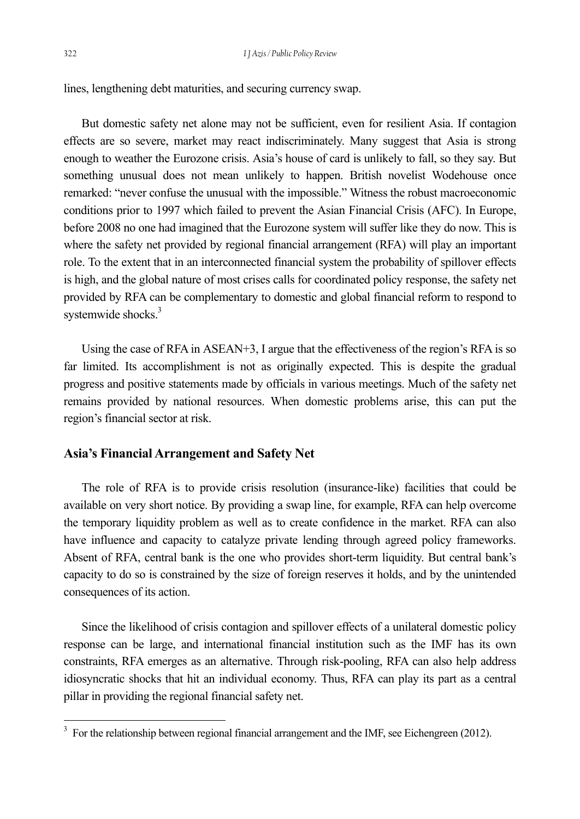lines, lengthening debt maturities, and securing currency swap.

But domestic safety net alone may not be sufficient, even for resilient Asia. If contagion effects are so severe, market may react indiscriminately. Many suggest that Asia is strong enough to weather the Eurozone crisis. Asia's house of card is unlikely to fall, so they say. But something unusual does not mean unlikely to happen. British novelist Wodehouse once remarked: "never confuse the unusual with the impossible." Witness the robust macroeconomic conditions prior to 1997 which failed to prevent the Asian Financial Crisis (AFC). In Europe, before 2008 no one had imagined that the Eurozone system will suffer like they do now. This is where the safety net provided by regional financial arrangement (RFA) will play an important role. To the extent that in an interconnected financial system the probability of spillover effects is high, and the global nature of most crises calls for coordinated policy response, the safety net provided by RFA can be complementary to domestic and global financial reform to respond to systemwide shocks.<sup>3</sup>

Using the case of RFA in ASEAN+3, I argue that the effectiveness of the region's RFA is so far limited. Its accomplishment is not as originally expected. This is despite the gradual progress and positive statements made by officials in various meetings. Much of the safety net remains provided by national resources. When domestic problems arise, this can put the region's financial sector at risk.

#### **Asia's Financial Arrangement and Safety Net**

The role of RFA is to provide crisis resolution (insurance-like) facilities that could be available on very short notice. By providing a swap line, for example, RFA can help overcome the temporary liquidity problem as well as to create confidence in the market. RFA can also have influence and capacity to catalyze private lending through agreed policy frameworks. Absent of RFA, central bank is the one who provides short-term liquidity. But central bank's capacity to do so is constrained by the size of foreign reserves it holds, and by the unintended consequences of its action.

Since the likelihood of crisis contagion and spillover effects of a unilateral domestic policy response can be large, and international financial institution such as the IMF has its own constraints, RFA emerges as an alternative. Through risk-pooling, RFA can also help address idiosyncratic shocks that hit an individual economy. Thus, RFA can play its part as a central pillar in providing the regional financial safety net.

 $3 \text{ For the relationship between regional financial arrangement and the IMF, see Eichengreen (2012).}$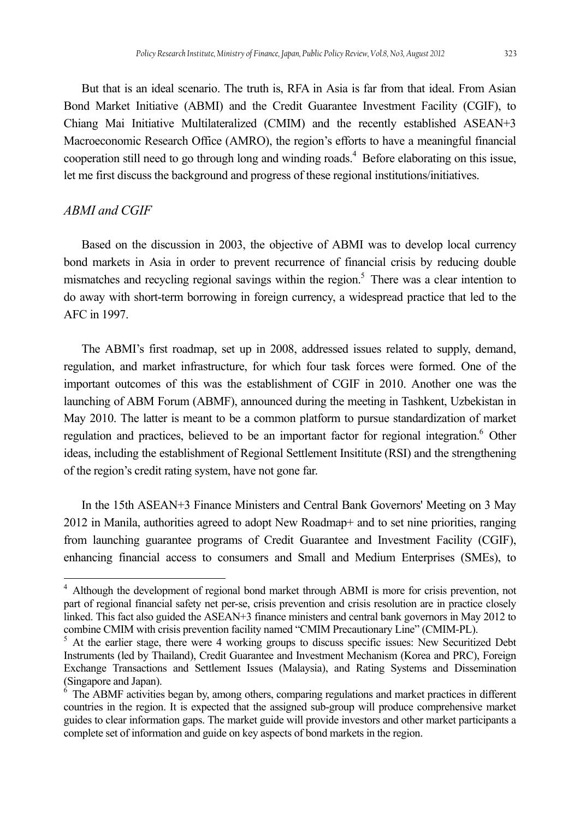But that is an ideal scenario. The truth is, RFA in Asia is far from that ideal. From Asian Bond Market Initiative (ABMI) and the Credit Guarantee Investment Facility (CGIF), to Chiang Mai Initiative Multilateralized (CMIM) and the recently established ASEAN+3 Macroeconomic Research Office (AMRO), the region's efforts to have a meaningful financial cooperation still need to go through long and winding roads.<sup>4</sup> Before elaborating on this issue, let me first discuss the background and progress of these regional institutions/initiatives.

## *ABMI and CGIF*

l

Based on the discussion in 2003, the objective of ABMI was to develop local currency bond markets in Asia in order to prevent recurrence of financial crisis by reducing double mismatches and recycling regional savings within the region.<sup>5</sup> There was a clear intention to do away with short-term borrowing in foreign currency, a widespread practice that led to the AFC in 1997.

The ABMI's first roadmap, set up in 2008, addressed issues related to supply, demand, regulation, and market infrastructure, for which four task forces were formed. One of the important outcomes of this was the establishment of CGIF in 2010. Another one was the launching of ABM Forum (ABMF), announced during the meeting in Tashkent, Uzbekistan in May 2010. The latter is meant to be a common platform to pursue standardization of market regulation and practices, believed to be an important factor for regional integration.<sup>6</sup> Other ideas, including the establishment of Regional Settlement Insititute (RSI) and the strengthening of the region's credit rating system, have not gone far.

In the 15th ASEAN+3 Finance Ministers and Central Bank Governors' Meeting on 3 May 2012 in Manila, authorities agreed to adopt New Roadmap+ and to set nine priorities, ranging from launching guarantee programs of Credit Guarantee and Investment Facility (CGIF), enhancing financial access to consumers and Small and Medium Enterprises (SMEs), to

<sup>&</sup>lt;sup>4</sup> Although the development of regional bond market through ABMI is more for crisis prevention, not part of regional financial safety net per-se, crisis prevention and crisis resolution are in practice closely linked. This fact also guided the ASEAN+3 finance ministers and central bank governors in May 2012 to combine CMIM with crisis prevention facility named "CMIM Precautionary Line" (CMIM-PL).

At the earlier stage, there were 4 working groups to discuss specific issues: New Securitized Debt Instruments (led by Thailand), Credit Guarantee and Investment Mechanism (Korea and PRC), Foreign Exchange Transactions and Settlement Issues (Malaysia), and Rating Systems and Dissemination (Singapore and Japan).

<sup>&</sup>lt;sup>6</sup> The ABMF activities began by, among others, comparing regulations and market practices in different countries in the region. It is expected that the assigned sub-group will produce comprehensive market guides to clear information gaps. The market guide will provide investors and other market participants a complete set of information and guide on key aspects of bond markets in the region.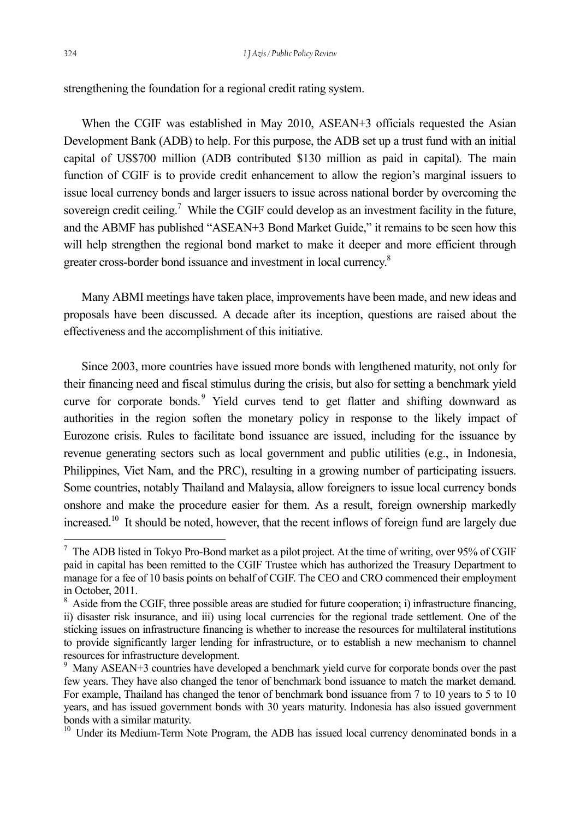strengthening the foundation for a regional credit rating system.

When the CGIF was established in May 2010, ASEAN+3 officials requested the Asian Development Bank (ADB) to help. For this purpose, the ADB set up a trust fund with an initial capital of US\$700 million (ADB contributed \$130 million as paid in capital). The main function of CGIF is to provide credit enhancement to allow the region's marginal issuers to issue local currency bonds and larger issuers to issue across national border by overcoming the sovereign credit ceiling.<sup>7</sup> While the CGIF could develop as an investment facility in the future, and the ABMF has published "ASEAN+3 Bond Market Guide," it remains to be seen how this will help strengthen the regional bond market to make it deeper and more efficient through greater cross-border bond issuance and investment in local currency.<sup>8</sup>

Many ABMI meetings have taken place, improvements have been made, and new ideas and proposals have been discussed. A decade after its inception, questions are raised about the effectiveness and the accomplishment of this initiative.

Since 2003, more countries have issued more bonds with lengthened maturity, not only for their financing need and fiscal stimulus during the crisis, but also for setting a benchmark yield curve for corporate bonds.<sup>9</sup> Yield curves tend to get flatter and shifting downward as authorities in the region soften the monetary policy in response to the likely impact of Eurozone crisis. Rules to facilitate bond issuance are issued, including for the issuance by revenue generating sectors such as local government and public utilities (e.g., in Indonesia, Philippines, Viet Nam, and the PRC), resulting in a growing number of participating issuers. Some countries, notably Thailand and Malaysia, allow foreigners to issue local currency bonds onshore and make the procedure easier for them. As a result, foreign ownership markedly increased.<sup>10</sup> It should be noted, however, that the recent inflows of foreign fund are largely due

 $^7$  The ADB listed in Tokyo Pro-Bond market as a pilot project. At the time of writing, over 95% of CGIF paid in capital has been remitted to the CGIF Trustee which has authorized the Treasury Department to manage for a fee of 10 basis points on behalf of CGIF. The CEO and CRO commenced their employment in October, 2011.

<sup>&</sup>lt;sup>8</sup> Aside from the CGIF, three possible areas are studied for future cooperation; i) infrastructure financing, ii) disaster risk insurance, and iii) using local currencies for the regional trade settlement. One of the sticking issues on infrastructure financing is whether to increase the resources for multilateral institutions to provide significantly larger lending for infrastructure, or to establish a new mechanism to channel resources for infrastructure development.

<sup>&</sup>lt;sup>9</sup> Many ASEAN+3 countries have developed a benchmark yield curve for corporate bonds over the past few years. They have also changed the tenor of benchmark bond issuance to match the market demand. For example, Thailand has changed the tenor of benchmark bond issuance from 7 to 10 years to 5 to 10 years, and has issued government bonds with 30 years maturity. Indonesia has also issued government bonds with a similar maturity.

<sup>&</sup>lt;sup>10</sup> Under its Medium-Term Note Program, the ADB has issued local currency denominated bonds in a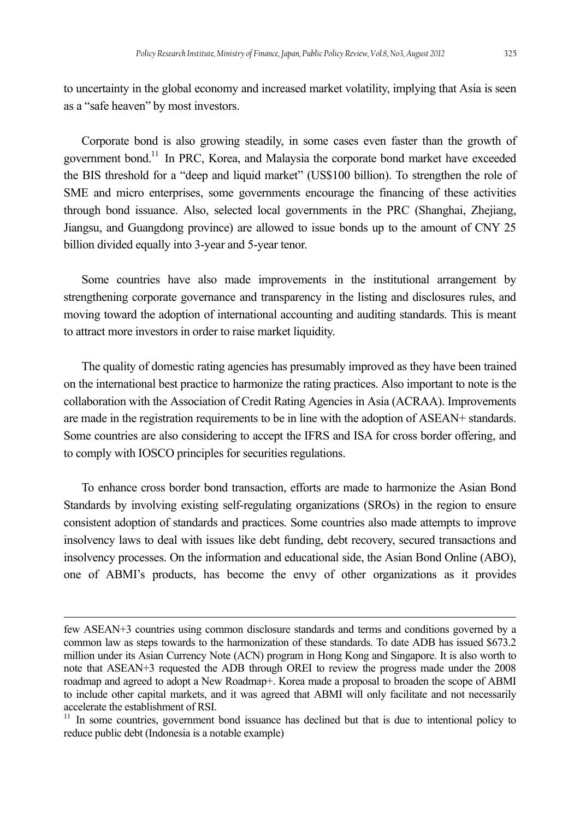to uncertainty in the global economy and increased market volatility, implying that Asia is seen as a "safe heaven" by most investors.

Corporate bond is also growing steadily, in some cases even faster than the growth of government bond.<sup>11</sup> In PRC, Korea, and Malaysia the corporate bond market have exceeded the BIS threshold for a "deep and liquid market" (US\$100 billion). To strengthen the role of SME and micro enterprises, some governments encourage the financing of these activities through bond issuance. Also, selected local governments in the PRC (Shanghai, Zhejiang, Jiangsu, and Guangdong province) are allowed to issue bonds up to the amount of CNY 25 billion divided equally into 3-year and 5-year tenor.

Some countries have also made improvements in the institutional arrangement by strengthening corporate governance and transparency in the listing and disclosures rules, and moving toward the adoption of international accounting and auditing standards. This is meant to attract more investors in order to raise market liquidity.

The quality of domestic rating agencies has presumably improved as they have been trained on the international best practice to harmonize the rating practices. Also important to note is the collaboration with the Association of Credit Rating Agencies in Asia (ACRAA). Improvements are made in the registration requirements to be in line with the adoption of ASEAN+ standards. Some countries are also considering to accept the IFRS and ISA for cross border offering, and to comply with IOSCO principles for securities regulations.

To enhance cross border bond transaction, efforts are made to harmonize the Asian Bond Standards by involving existing self-regulating organizations (SROs) in the region to ensure consistent adoption of standards and practices. Some countries also made attempts to improve insolvency laws to deal with issues like debt funding, debt recovery, secured transactions and insolvency processes. On the information and educational side, the Asian Bond Online (ABO), one of ABMI's products, has become the envy of other organizations as it provides

few ASEAN+3 countries using common disclosure standards and terms and conditions governed by a common law as steps towards to the harmonization of these standards. To date ADB has issued \$673.2 million under its Asian Currency Note (ACN) program in Hong Kong and Singapore. It is also worth to note that ASEAN+3 requested the ADB through OREI to review the progress made under the 2008 roadmap and agreed to adopt a New Roadmap+. Korea made a proposal to broaden the scope of ABMI to include other capital markets, and it was agreed that ABMI will only facilitate and not necessarily accelerate the establishment of RSI.

<sup>&</sup>lt;sup>11</sup> In some countries, government bond issuance has declined but that is due to intentional policy to reduce public debt (Indonesia is a notable example)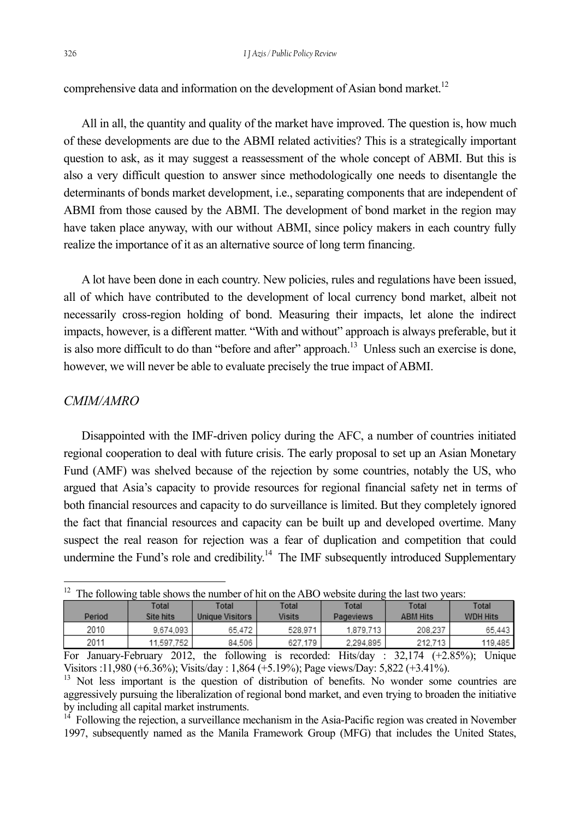comprehensive data and information on the development of Asian bond market.<sup>12</sup>

All in all, the quantity and quality of the market have improved. The question is, how much of these developments are due to the ABMI related activities? This is a strategically important question to ask, as it may suggest a reassessment of the whole concept of ABMI. But this is also a very difficult question to answer since methodologically one needs to disentangle the determinants of bonds market development, i.e., separating components that are independent of ABMI from those caused by the ABMI. The development of bond market in the region may have taken place anyway, with our without ABMI, since policy makers in each country fully realize the importance of it as an alternative source of long term financing.

A lot have been done in each country. New policies, rules and regulations have been issued, all of which have contributed to the development of local currency bond market, albeit not necessarily cross-region holding of bond. Measuring their impacts, let alone the indirect impacts, however, is a different matter. "With and without" approach is always preferable, but it is also more difficult to do than "before and after" approach.<sup>13</sup> Unless such an exercise is done, however, we will never be able to evaluate precisely the true impact of ABMI.

### *CMIM/AMRO*

Disappointed with the IMF-driven policy during the AFC, a number of countries initiated regional cooperation to deal with future crisis. The early proposal to set up an Asian Monetary Fund (AMF) was shelved because of the rejection by some countries, notably the US, who argued that Asia's capacity to provide resources for regional financial safety net in terms of both financial resources and capacity to do surveillance is limited. But they completely ignored the fact that financial resources and capacity can be built up and developed overtime. Many suspect the real reason for rejection was a fear of duplication and competition that could undermine the Fund's role and credibility.<sup>14</sup> The IMF subsequently introduced Supplementary

| $12$ The following table shows the number of hit on the ABO website during the last two years: |  |  |
|------------------------------------------------------------------------------------------------|--|--|

| Period | Total<br>Site hits | Total<br>Unique Visitors | Total<br><b>Visits</b> | Total<br>Pageviews | Total<br><b>ABM Hits</b> | Total<br><b>WDH Hits</b> |
|--------|--------------------|--------------------------|------------------------|--------------------|--------------------------|--------------------------|
| 2010   | 9.674.093          | 65.472                   | 528.971                | 1.879.713          | 208.237                  | 65.443                   |
| 2011   | 11.597.752         | 84.506                   | 627.179                | 2.294.895          | 212.713                  | 119.485                  |

For January-February 2012, the following is recorded: Hits/day : 32,174 (+2.85%); Unique Visitors :11,980 (+6.36%); Visits/day : 1,864 (+5.19%); Page views/Day: 5,822 (+3.41%).

 $14$  Following the rejection, a surveillance mechanism in the Asia-Pacific region was created in November 1997, subsequently named as the Manila Framework Group (MFG) that includes the United States,

<sup>&</sup>lt;sup>13</sup> Not less important is the question of distribution of benefits. No wonder some countries are aggressively pursuing the liberalization of regional bond market, and even trying to broaden the initiative by including all capital market instruments.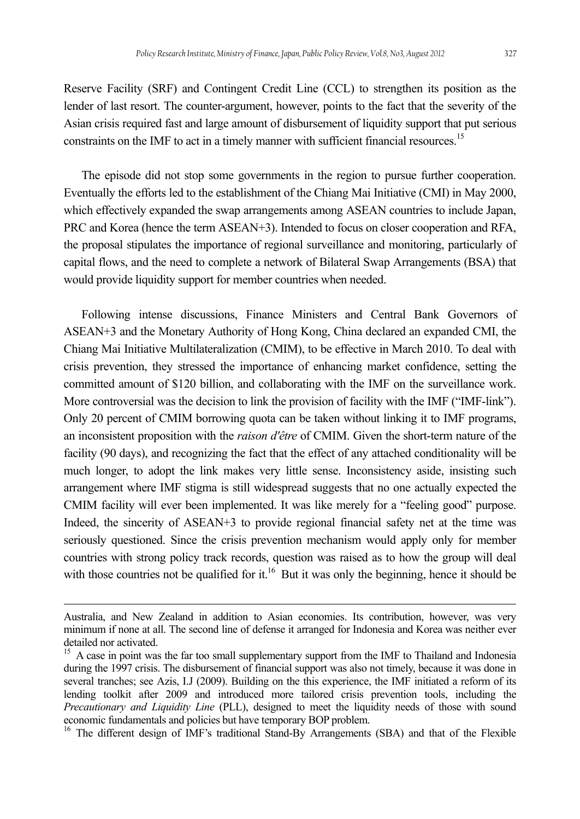Reserve Facility (SRF) and Contingent Credit Line (CCL) to strengthen its position as the lender of last resort. The counter-argument, however, points to the fact that the severity of the Asian crisis required fast and large amount of disbursement of liquidity support that put serious constraints on the IMF to act in a timely manner with sufficient financial resources.<sup>15</sup>

The episode did not stop some governments in the region to pursue further cooperation. Eventually the efforts led to the establishment of the Chiang Mai Initiative (CMI) in May 2000, which effectively expanded the swap arrangements among ASEAN countries to include Japan, PRC and Korea (hence the term ASEAN+3). Intended to focus on closer cooperation and RFA, the proposal stipulates the importance of regional surveillance and monitoring, particularly of capital flows, and the need to complete a network of Bilateral Swap Arrangements (BSA) that would provide liquidity support for member countries when needed.

Following intense discussions, Finance Ministers and Central Bank Governors of ASEAN+3 and the Monetary Authority of Hong Kong, China declared an expanded CMI, the Chiang Mai Initiative Multilateralization (CMIM), to be effective in March 2010. To deal with crisis prevention, they stressed the importance of enhancing market confidence, setting the committed amount of \$120 billion, and collaborating with the IMF on the surveillance work. More controversial was the decision to link the provision of facility with the IMF ("IMF-link"). Only 20 percent of CMIM borrowing quota can be taken without linking it to IMF programs, an inconsistent proposition with the *raison d'être* of CMIM. Given the short-term nature of the facility (90 days), and recognizing the fact that the effect of any attached conditionality will be much longer, to adopt the link makes very little sense. Inconsistency aside, insisting such arrangement where IMF stigma is still widespread suggests that no one actually expected the CMIM facility will ever been implemented. It was like merely for a "feeling good" purpose. Indeed, the sincerity of ASEAN+3 to provide regional financial safety net at the time was seriously questioned. Since the crisis prevention mechanism would apply only for member countries with strong policy track records, question was raised as to how the group will deal with those countries not be qualified for it.<sup>16</sup> But it was only the beginning, hence it should be

Australia, and New Zealand in addition to Asian economies. Its contribution, however, was very minimum if none at all. The second line of defense it arranged for Indonesia and Korea was neither ever detailed nor activated.

<sup>&</sup>lt;sup>15</sup> A case in point was the far too small supplementary support from the IMF to Thailand and Indonesia during the 1997 crisis. The disbursement of financial support was also not timely, because it was done in several tranches; see Azis, I.J (2009). Building on the this experience, the IMF initiated a reform of its lending toolkit after 2009 and introduced more tailored crisis prevention tools, including the *Precautionary and Liquidity Line* (PLL), designed to meet the liquidity needs of those with sound economic fundamentals and policies but have temporary BOP problem.<br><sup>16</sup> The different design of IMF's traditional Stand-By Arrangements (SBA) and that of the Flexible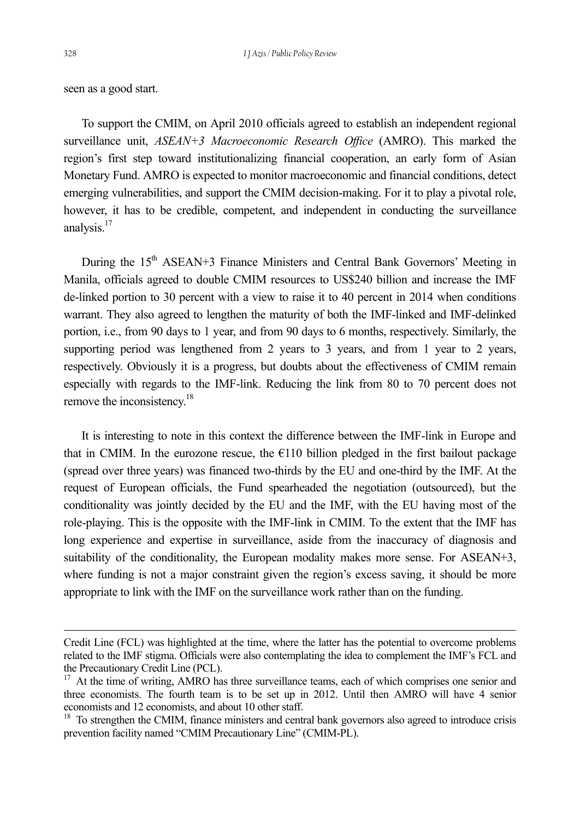l

seen as a good start.

To support the CMIM, on April 2010 officials agreed to establish an independent regional surveillance unit, *ASEAN+3 Macroeconomic Research Office* (AMRO). This marked the region's first step toward institutionalizing financial cooperation, an early form of Asian Monetary Fund. AMRO is expected to monitor macroeconomic and financial conditions, detect emerging vulnerabilities, and support the CMIM decision-making. For it to play a pivotal role, however, it has to be credible, competent, and independent in conducting the surveillance analysis.<sup>17</sup>

During the 15<sup>th</sup> ASEAN+3 Finance Ministers and Central Bank Governors' Meeting in Manila, officials agreed to double CMIM resources to US\$240 billion and increase the IMF de-linked portion to 30 percent with a view to raise it to 40 percent in 2014 when conditions warrant. They also agreed to lengthen the maturity of both the IMF-linked and IMF-delinked portion, i.e., from 90 days to 1 year, and from 90 days to 6 months, respectively. Similarly, the supporting period was lengthened from 2 years to 3 years, and from 1 year to 2 years, respectively. Obviously it is a progress, but doubts about the effectiveness of CMIM remain especially with regards to the IMF-link. Reducing the link from 80 to 70 percent does not remove the inconsistency.18

It is interesting to note in this context the difference between the IMF-link in Europe and that in CMIM. In the eurozone rescue, the  $E110$  billion pledged in the first bailout package (spread over three years) was financed two-thirds by the EU and one-third by the IMF. At the request of European officials, the Fund spearheaded the negotiation (outsourced), but the conditionality was jointly decided by the EU and the IMF, with the EU having most of the role-playing. This is the opposite with the IMF-link in CMIM. To the extent that the IMF has long experience and expertise in surveillance, aside from the inaccuracy of diagnosis and suitability of the conditionality, the European modality makes more sense. For ASEAN+3, where funding is not a major constraint given the region's excess saving, it should be more appropriate to link with the IMF on the surveillance work rather than on the funding.

Credit Line (FCL) was highlighted at the time, where the latter has the potential to overcome problems related to the IMF stigma. Officials were also contemplating the idea to complement the IMF's FCL and the Precautionary Credit Line (PCL).

<sup>&</sup>lt;sup>17</sup> At the time of writing, AMRO has three surveillance teams, each of which comprises one senior and three economists. The fourth team is to be set up in 2012. Until then AMRO will have 4 senior economists and 12 economists, and about 10 other staff.

<sup>&</sup>lt;sup>18</sup> To strengthen the CMIM, finance ministers and central bank governors also agreed to introduce crisis prevention facility named "CMIM Precautionary Line" (CMIM-PL).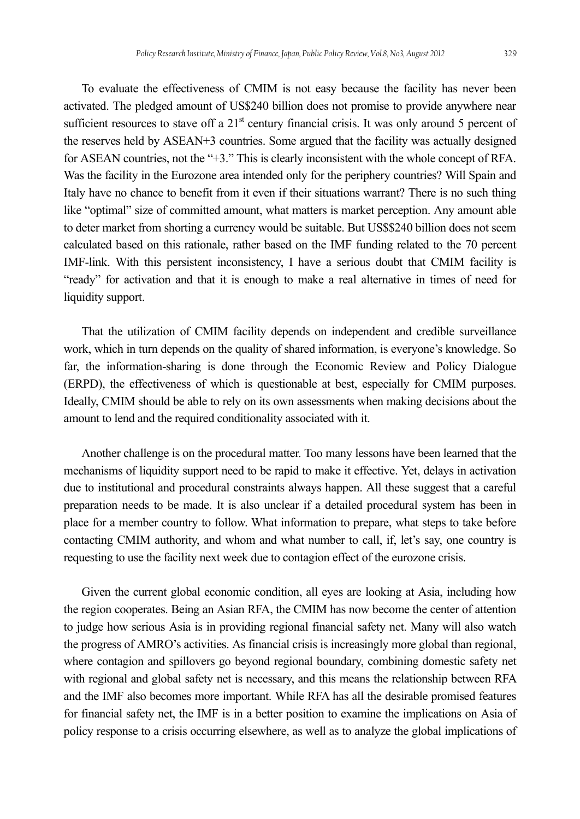To evaluate the effectiveness of CMIM is not easy because the facility has never been activated. The pledged amount of US\$240 billion does not promise to provide anywhere near sufficient resources to stave off a  $21<sup>st</sup>$  century financial crisis. It was only around 5 percent of the reserves held by ASEAN+3 countries. Some argued that the facility was actually designed for ASEAN countries, not the "+3." This is clearly inconsistent with the whole concept of RFA. Was the facility in the Eurozone area intended only for the periphery countries? Will Spain and Italy have no chance to benefit from it even if their situations warrant? There is no such thing like "optimal" size of committed amount, what matters is market perception. Any amount able to deter market from shorting a currency would be suitable. But US\$\$240 billion does not seem calculated based on this rationale, rather based on the IMF funding related to the 70 percent IMF-link. With this persistent inconsistency, I have a serious doubt that CMIM facility is "ready" for activation and that it is enough to make a real alternative in times of need for liquidity support.

That the utilization of CMIM facility depends on independent and credible surveillance work, which in turn depends on the quality of shared information, is everyone's knowledge. So far, the information-sharing is done through the Economic Review and Policy Dialogue (ERPD), the effectiveness of which is questionable at best, especially for CMIM purposes. Ideally, CMIM should be able to rely on its own assessments when making decisions about the amount to lend and the required conditionality associated with it.

Another challenge is on the procedural matter. Too many lessons have been learned that the mechanisms of liquidity support need to be rapid to make it effective. Yet, delays in activation due to institutional and procedural constraints always happen. All these suggest that a careful preparation needs to be made. It is also unclear if a detailed procedural system has been in place for a member country to follow. What information to prepare, what steps to take before contacting CMIM authority, and whom and what number to call, if, let's say, one country is requesting to use the facility next week due to contagion effect of the eurozone crisis.

Given the current global economic condition, all eyes are looking at Asia, including how the region cooperates. Being an Asian RFA, the CMIM has now become the center of attention to judge how serious Asia is in providing regional financial safety net. Many will also watch the progress of AMRO's activities. As financial crisis is increasingly more global than regional, where contagion and spillovers go beyond regional boundary, combining domestic safety net with regional and global safety net is necessary, and this means the relationship between RFA and the IMF also becomes more important. While RFA has all the desirable promised features for financial safety net, the IMF is in a better position to examine the implications on Asia of policy response to a crisis occurring elsewhere, as well as to analyze the global implications of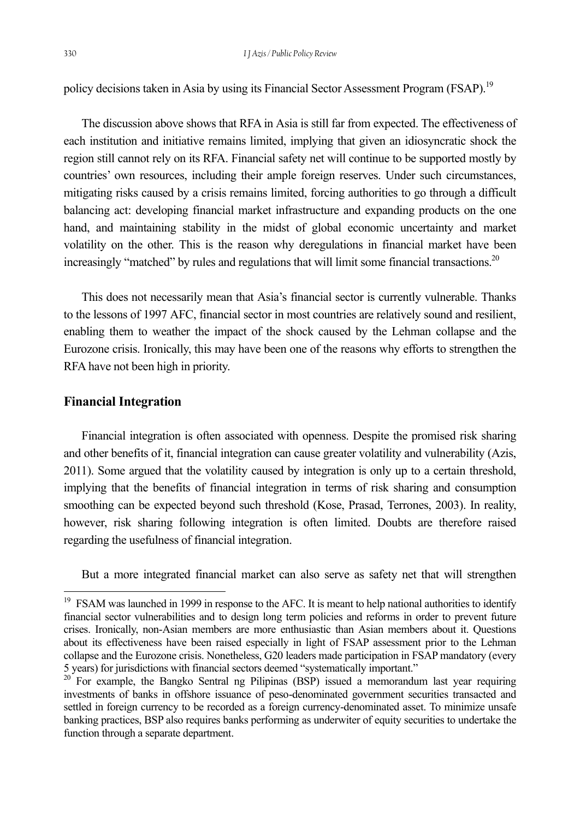policy decisions taken in Asia by using its Financial Sector Assessment Program (FSAP).<sup>19</sup>

The discussion above shows that RFA in Asia is still far from expected. The effectiveness of each institution and initiative remains limited, implying that given an idiosyncratic shock the region still cannot rely on its RFA. Financial safety net will continue to be supported mostly by countries' own resources, including their ample foreign reserves. Under such circumstances, mitigating risks caused by a crisis remains limited, forcing authorities to go through a difficult balancing act: developing financial market infrastructure and expanding products on the one hand, and maintaining stability in the midst of global economic uncertainty and market volatility on the other. This is the reason why deregulations in financial market have been increasingly "matched" by rules and regulations that will limit some financial transactions.<sup>20</sup>

This does not necessarily mean that Asia's financial sector is currently vulnerable. Thanks to the lessons of 1997 AFC, financial sector in most countries are relatively sound and resilient, enabling them to weather the impact of the shock caused by the Lehman collapse and the Eurozone crisis. Ironically, this may have been one of the reasons why efforts to strengthen the RFA have not been high in priority.

#### **Financial Integration**

l

Financial integration is often associated with openness. Despite the promised risk sharing and other benefits of it, financial integration can cause greater volatility and vulnerability (Azis, 2011). Some argued that the volatility caused by integration is only up to a certain threshold, implying that the benefits of financial integration in terms of risk sharing and consumption smoothing can be expected beyond such threshold (Kose, Prasad, Terrones, 2003). In reality, however, risk sharing following integration is often limited. Doubts are therefore raised regarding the usefulness of financial integration.

But a more integrated financial market can also serve as safety net that will strengthen

<sup>&</sup>lt;sup>19</sup> FSAM was launched in 1999 in response to the AFC. It is meant to help national authorities to identify financial sector vulnerabilities and to design long term policies and reforms in order to prevent future crises. Ironically, non-Asian members are more enthusiastic than Asian members about it. Questions about its effectiveness have been raised especially in light of FSAP assessment prior to the Lehman collapse and the Eurozone crisis. Nonetheless, G20 leaders made participation in FSAP mandatory (every 5 years) for jurisdictions with financial sectors deemed "systematically important." 20 For example, the Bangko Sentral ng Pilipinas (BSP) issued a memorandum last year requiring

investments of banks in offshore issuance of peso-denominated government securities transacted and settled in foreign currency to be recorded as a foreign currency-denominated asset. To minimize unsafe banking practices, BSP also requires banks performing as underwiter of equity securities to undertake the function through a separate department.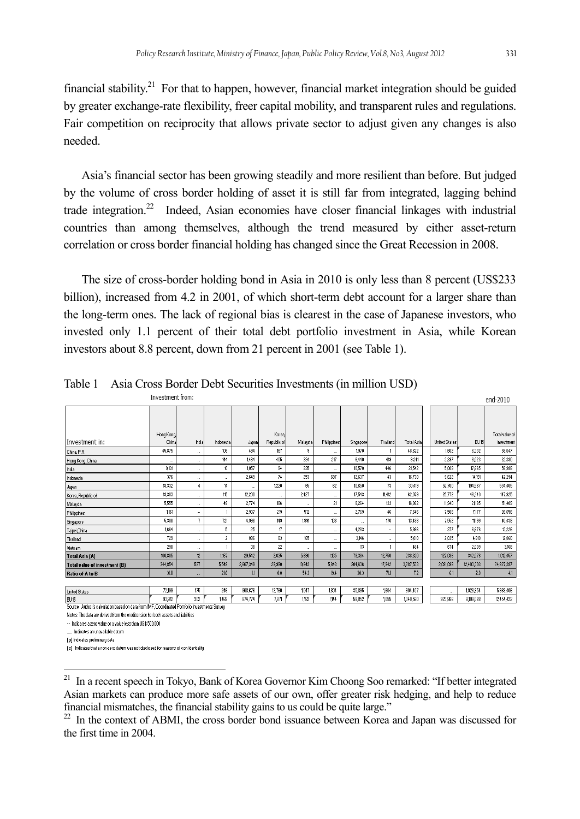financial stability.21 For that to happen, however, financial market integration should be guided by greater exchange-rate flexibility, freer capital mobility, and transparent rules and regulations. Fair competition on reciprocity that allows private sector to adjust given any changes is also needed.

Asia's financial sector has been growing steadily and more resilient than before. But judged by the volume of cross border holding of asset it is still far from integrated, lagging behind trade integration.<sup>22</sup> Indeed, Asian economies have closer financial linkages with industrial countries than among themselves, although the trend measured by either asset-return correlation or cross border financial holding has changed since the Great Recession in 2008.

The size of cross-border holding bond in Asia in 2010 is only less than 8 percent (US\$233 billion), increased from 4.2 in 2001, of which short-term debt account for a larger share than the long-term ones. The lack of regional bias is clearest in the case of Japanese investors, who invested only 1.1 percent of their total debt portfolio investment in Asia, while Korean investors about 8.8 percent, down from 21 percent in 2001 (see Table 1).

| Investment from:                     |                    |                      |             |           |                       |          |                |           |          |            | end-2010             |                  |                              |
|--------------------------------------|--------------------|----------------------|-------------|-----------|-----------------------|----------|----------------|-----------|----------|------------|----------------------|------------------|------------------------------|
|                                      |                    |                      |             |           |                       |          |                |           |          |            |                      |                  |                              |
| Investment in:                       | Hong Kong<br>China | India                | Indonesia   | Japan     | Korea.<br>Republic of | Malausia | Philippines    | Singapore | Thailand | Total Asia | <b>United States</b> | EU <sub>15</sub> | Total value of<br>investment |
|                                      | 45,875             |                      | 106         | 494       | 167                   | 9        |                | 1.970     |          | 48,622     | 1,602                | 6,332            | 58,647                       |
| China, P.R.                          |                    | $\mathbf{u}$         |             |           |                       |          |                |           |          |            |                      |                  |                              |
| Hong Kong, China                     |                    | $\cdots$             | 144         | 1,484     | 405                   | 234      | 217            | 6.440     | 419      | 9.341      | 2,297                | 8.023            | 22,380                       |
| India                                | 9.131              | m.                   | 10          | 1,057     | 94                    | 235      | ×.             | 10,570    | 446      | 21,542     | 5,009                | 17,665           | 58,988                       |
| Indonesia                            | 376                |                      | $\sim$      | 2,649     | 74                    | 253      | 697            | 12,637    | 43       | 16,730     | 9,622                | 14.191           | 42,294                       |
| Japan                                | 18,332             | $\ddot{\phantom{1}}$ | 14          |           | 1,220                 | 65       | 62             | 10,650    | 73       | 30,419     | 52,700               | 194,567          | 534,465                      |
| Korea, Republic of                   | 18,383             | m.                   | 115         | 12,200    | m.                    | 2,427    | ×.             | 17,543    | 11,412   | 62,079     | 25,772               | 48,240           | 147,925                      |
| Malaysia                             | 5,555              | m.                   | 49          | 2,774     | 186                   | $\sim$   | 21             | 8.264     | 133      | 16,982     | 11,940               | 21,185           | 51,409                       |
| Philippines                          | 1,161              |                      |             | 2,937     | 219                   | 512      | $\overline{a}$ | 2,769     | 46       | 7,646      | 7,506                | 7,177            | 26,656                       |
| Singapore                            | 5,308              | 7                    | 721         | 4,998     | 149                   | 1991     | 138            | m.        | 176      | 13,488     | 7,552                | 11,199           | 40,438                       |
| Taipei, China                        | 1,664              | m.                   | 5           | 25        | 17                    | $\sim$   | u.             | 4,283     | $\cdots$ | 5,996      | 377                  | 6,676            | 13,226                       |
| Thailand                             | 729                | $\cdots$             | $\tilde{c}$ | 886       | 83                    | 165      |                | 3,146     |          | 5,010      | 2,035                | 4.810            | 12,860                       |
| Vietnam                              | 290                | $\cdots$             |             | 38        | 22                    | $\cdots$ | $\sim$         | 113       |          | 464        | 674                  | 2,009            | 3,168                        |
| Total Asia (A)                       | 106,805            | 12                   | 1,167       | 29,542    | 2,635                 | 5,890    | 1,135          | 78,384    | 12,750   | 238,320    | 127,086              | 342,076          | 1,012,457                    |
| <b>Total value of investment (B)</b> | 344,854            | 527                  | 5,549       | 2,667,349 | 29,990                | 10,843   | 5,843          | 204,636   | 17,942   | 3,287,533  | 2,091,098            | 12,403,303       | 24,827,387                   |
| Ratio of A to B                      | 31.0               | $\cdots$             | 21.0        | 11        | 8.8                   | 54.3     | 19.4           | 38.3      | 71.1     | 7.2        | 6.1                  | 2.8              | 4.1                          |
|                                      |                    |                      |             |           |                       |          |                |           |          |            |                      |                  |                              |
| <b>United States</b>                 | 72,199             | 175                  | 246         | 868,676   | 12,760                | 1047     | 1,804          | 35,895    | 1,604    | 994,407    | --                   | 1,928,954        | 5,968,406                    |
| EU <sub>15</sub>                     | 93.912             | 302                  | 1468        | 874,774   | 7.871                 | 1,182    | 1,144          | 58.852    | 1055     | 1,040,560  | 923,866              | 8,109,088        | 12,454,422                   |

Table 1 Asia Cross Border Debt Securities Investments (in million USD)

Source: Author's calculation based on data from IMF, Coordinated Portfolio Investments Survey

Notes: The data are derived from the creditor side for both assets and liabilities

-- Indicates a zero value or a value less than US\$ 500,000 ... Indicates an unavailable datum

[p] Indicates preliminary data

l

[c] Indicates that a non-zero datum was not disclosed for reasons of confidentiality

<sup>&</sup>lt;sup>21</sup> In a recent speech in Tokyo, Bank of Korea Governor Kim Choong Soo remarked: "If better integrated Asian markets can produce more safe assets of our own, offer greater risk hedging, and help to reduce financial mismatches, the financial stability gains to us could be quite large."

 $22$  In the context of ABMI, the cross border bond issuance between Korea and Japan was discussed for the first time in 2004.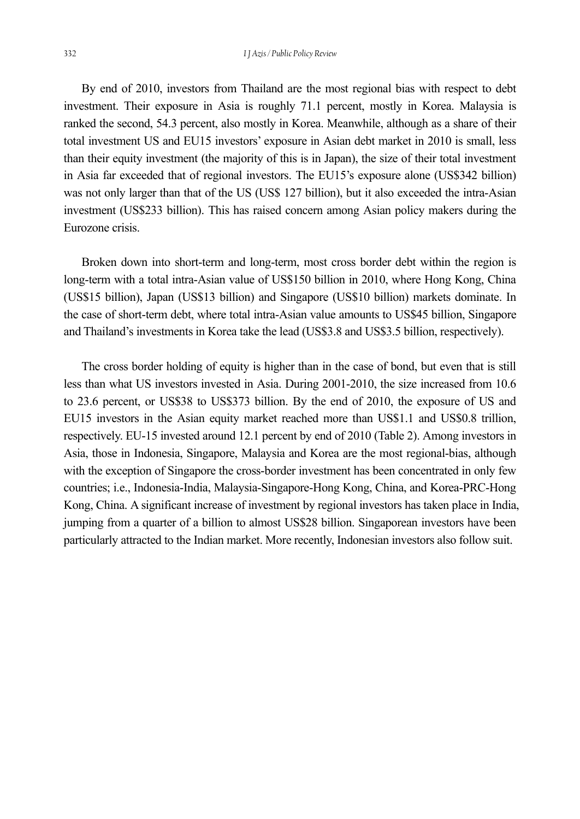By end of 2010, investors from Thailand are the most regional bias with respect to debt investment. Their exposure in Asia is roughly 71.1 percent, mostly in Korea. Malaysia is ranked the second, 54.3 percent, also mostly in Korea. Meanwhile, although as a share of their total investment US and EU15 investors' exposure in Asian debt market in 2010 is small, less than their equity investment (the majority of this is in Japan), the size of their total investment in Asia far exceeded that of regional investors. The EU15's exposure alone (US\$342 billion) was not only larger than that of the US (US\$ 127 billion), but it also exceeded the intra-Asian investment (US\$233 billion). This has raised concern among Asian policy makers during the Eurozone crisis.

Broken down into short-term and long-term, most cross border debt within the region is long-term with a total intra-Asian value of US\$150 billion in 2010, where Hong Kong, China (US\$15 billion), Japan (US\$13 billion) and Singapore (US\$10 billion) markets dominate. In the case of short-term debt, where total intra-Asian value amounts to US\$45 billion, Singapore and Thailand's investments in Korea take the lead (US\$3.8 and US\$3.5 billion, respectively).

The cross border holding of equity is higher than in the case of bond, but even that is still less than what US investors invested in Asia. During 2001-2010, the size increased from 10.6 to 23.6 percent, or US\$38 to US\$373 billion. By the end of 2010, the exposure of US and EU15 investors in the Asian equity market reached more than US\$1.1 and US\$0.8 trillion, respectively. EU-15 invested around 12.1 percent by end of 2010 (Table 2). Among investors in Asia, those in Indonesia, Singapore, Malaysia and Korea are the most regional-bias, although with the exception of Singapore the cross-border investment has been concentrated in only few countries; i.e., Indonesia-India, Malaysia-Singapore-Hong Kong, China, and Korea-PRC-Hong Kong, China. A significant increase of investment by regional investors has taken place in India, jumping from a quarter of a billion to almost US\$28 billion. Singaporean investors have been particularly attracted to the Indian market. More recently, Indonesian investors also follow suit.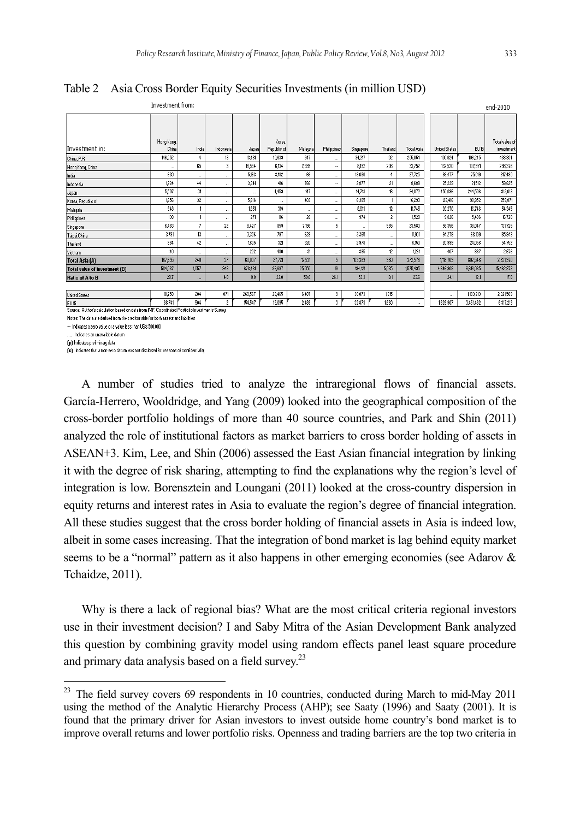Table 2 Asia Cross Border Equity Securities Investments (in million USD)

| Investment from:                     |                     |          |                          |                |                       |          |                 |           |                 |            |                      |                  | end-2010                     |
|--------------------------------------|---------------------|----------|--------------------------|----------------|-----------------------|----------|-----------------|-----------|-----------------|------------|----------------------|------------------|------------------------------|
| Investment in:                       | Hong Kong,<br>China | India    | Indonesia                | Japan          | Korea.<br>Republic of | Malaysia | Philippines     | Singapore | Thailand        | Total Asia | <b>United States</b> | EU <sub>15</sub> | Total value of<br>investment |
| China, P.R.                          | 146.252             | 4        | 13                       | 13.481         | 10,639                | 347      | m.              | 34.217    | 102             | 205.054    | 100.624              | 106.245          | 436,934                      |
| Hong Kong, China                     |                     | 65       | 3                        | 16,554         | 6.134                 | 2,599    | $\cdots$        | 8.192     | 206             | 33,752     | 132,520              | 102,971          | 298,376                      |
| India                                | 630                 | $\cdots$ |                          | 5,163          | 3.182                 | 66       |                 | 18,680    | 4               | 27,725     | 86,477               | 75,019           | 317,490                      |
| Indonesia                            | 1224                | 44       | $\sim$                   | 3,341          | 416                   | 766      | ٠.              | 2,877     | 21              | 8,689      | 25,239               | 21,512           | 59,625                       |
| Japan                                | 5,507               | 31       | ×.                       | $\sim$         | 4,459                 | 147      | m.              | 14,713    | 16 <sup>2</sup> | 24,872     | 450.096              | 244,506          | 813,613                      |
| Korea, Republic of                   | 1,656               | $32\,$   | $\overline{\phantom{a}}$ | 5,816          | $\cdots$              | 403      |                 | 8,385     |                 | 16,293     | 122.416              | 98,952           | 259,871                      |
| Malausia                             | 948                 |          | $\sim$                   | 1,851          | 319                   | ÷.       | $\cdots$        | 8,613     | 12              | 11,745     | 20,270               | 16,746           | 54,345                       |
| Philippines                          | 138                 |          | $\sim$                   | 271            | 116                   | 28       | $\sim$          | 974       | $\hat{z}$       | 1529       | 9,026                | 5,496            | 16,720                       |
| Singapore                            | 6,483               | 7        | 22                       | 8,427          | 859                   | 7,196    | 5               | $\sim$    | 585             | 23.583     | 56,356               | 38.047           | 131,725                      |
| Taipei, China                        | 3,791               | 13       | $\sim$                   | 3,306          | 797                   | 629      |                 | 3,365     | $\cdots$        | 11.901     | 94,279               | 68,109           | 185,843                      |
| Thailand                             | 884                 | 42       | $\overline{a}$           | 1.605          | 321                   | 320      |                 | 2,978     | $\cdots$        | 6,150      | 20,999               | 24,056           | 54,752                       |
| Vietnam                              | 140                 | $\sim$   | $\sim$                   | 222            | 480                   | 31       | $\sim$          | 395       | 12              | 1281       | 407                  | 887              | 2,676                        |
| Total Asia (A)                       | 167,655             | 240      | 37                       | 60,037         | 27,721                | 12,531   | 5 <sup>1</sup>  | 103,389   | 960             | 372,576    | 1,118,709            | 802,546          | 2,631,970                    |
| <b>Total value of investment (B)</b> | 584,087             | 1057     | 948                      | 678,481        | 86,697                | 25,050   | 19 <sup>°</sup> | 194.121   | 5,035           | 1,575,495  | 4,646,908            | 6,618,085        | 15,462,872                   |
| Ratio of A to B                      | 28.7                | $\cdots$ | 4.0                      | 8.8            | 32.0                  | 50.0     | 26.1            | 53.3      | 19.1            | 23.6       | 24.1                 | 12.1             | 17.0                         |
|                                      |                     |          |                          |                |                       |          |                 |           |                 |            |                      |                  |                              |
| <b>United States</b>                 | 18,758              | 204      | 871                      | 269,567        | 22,465                | 6,487    | 9               | 30,073    | 1215            |            | $\cdots$             | 1,193.213        | 2,321,589                    |
| leu se                               | 02.741              | 504      | $\gamma$                 | <b>IRA RAZ</b> | 16.095                | 0.400    | $\sim$          | 00.070    | 1000            |            | 1099907              | 9 851 899        | 0.017.010                    |

Source: Author's calculation based on data from IMF. Coordinated Portfolio Investments Survey

Notes: The data are derived from the creditor side for both assets and liabilities.

-- Indicates a zero value or a value less than US\$ 500,000

... Indicates an unavailable datum

[p] Indicates preliminary data

l

[c] Indicates that a non-zero datum was not disclosed for reasons of confidentiality

A number of studies tried to analyze the intraregional flows of financial assets. García-Herrero, Wooldridge, and Yang (2009) looked into the geographical composition of the cross-border portfolio holdings of more than 40 source countries, and Park and Shin (2011) analyzed the role of institutional factors as market barriers to cross border holding of assets in ASEAN+3. Kim, Lee, and Shin (2006) assessed the East Asian financial integration by linking it with the degree of risk sharing, attempting to find the explanations why the region's level of integration is low. Borensztein and Loungani (2011) looked at the cross-country dispersion in equity returns and interest rates in Asia to evaluate the region's degree of financial integration. All these studies suggest that the cross border holding of financial assets in Asia is indeed low, albeit in some cases increasing. That the integration of bond market is lag behind equity market seems to be a "normal" pattern as it also happens in other emerging economies (see Adarov & Tchaidze, 2011).

Why is there a lack of regional bias? What are the most critical criteria regional investors use in their investment decision? I and Saby Mitra of the Asian Development Bank analyzed this question by combining gravity model using random effects panel least square procedure and primary data analysis based on a field survey.<sup>23</sup>

 $2<sup>23</sup>$  The field survey covers 69 respondents in 10 countries, conducted during March to mid-May 2011 using the method of the Analytic Hierarchy Process (AHP); see Saaty (1996) and Saaty (2001). It is found that the primary driver for Asian investors to invest outside home country's bond market is to improve overall returns and lower portfolio risks. Openness and trading barriers are the top two criteria in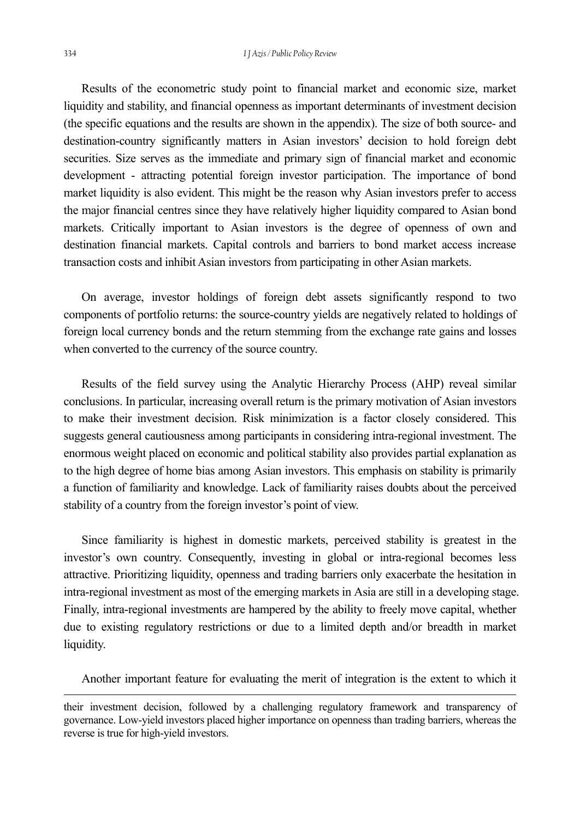Results of the econometric study point to financial market and economic size, market liquidity and stability, and financial openness as important determinants of investment decision (the specific equations and the results are shown in the appendix). The size of both source- and destination-country significantly matters in Asian investors' decision to hold foreign debt securities. Size serves as the immediate and primary sign of financial market and economic development - attracting potential foreign investor participation. The importance of bond market liquidity is also evident. This might be the reason why Asian investors prefer to access the major financial centres since they have relatively higher liquidity compared to Asian bond markets. Critically important to Asian investors is the degree of openness of own and destination financial markets. Capital controls and barriers to bond market access increase transaction costs and inhibit Asian investors from participating in other Asian markets.

On average, investor holdings of foreign debt assets significantly respond to two components of portfolio returns: the source-country yields are negatively related to holdings of foreign local currency bonds and the return stemming from the exchange rate gains and losses when converted to the currency of the source country.

Results of the field survey using the Analytic Hierarchy Process (AHP) reveal similar conclusions. In particular, increasing overall return is the primary motivation of Asian investors to make their investment decision. Risk minimization is a factor closely considered. This suggests general cautiousness among participants in considering intra-regional investment. The enormous weight placed on economic and political stability also provides partial explanation as to the high degree of home bias among Asian investors. This emphasis on stability is primarily a function of familiarity and knowledge. Lack of familiarity raises doubts about the perceived stability of a country from the foreign investor's point of view.

Since familiarity is highest in domestic markets, perceived stability is greatest in the investor's own country. Consequently, investing in global or intra-regional becomes less attractive. Prioritizing liquidity, openness and trading barriers only exacerbate the hesitation in intra-regional investment as most of the emerging markets in Asia are still in a developing stage. Finally, intra-regional investments are hampered by the ability to freely move capital, whether due to existing regulatory restrictions or due to a limited depth and/or breadth in market liquidity.

Another important feature for evaluating the merit of integration is the extent to which it

their investment decision, followed by a challenging regulatory framework and transparency of governance. Low-yield investors placed higher importance on openness than trading barriers, whereas the reverse is true for high-yield investors.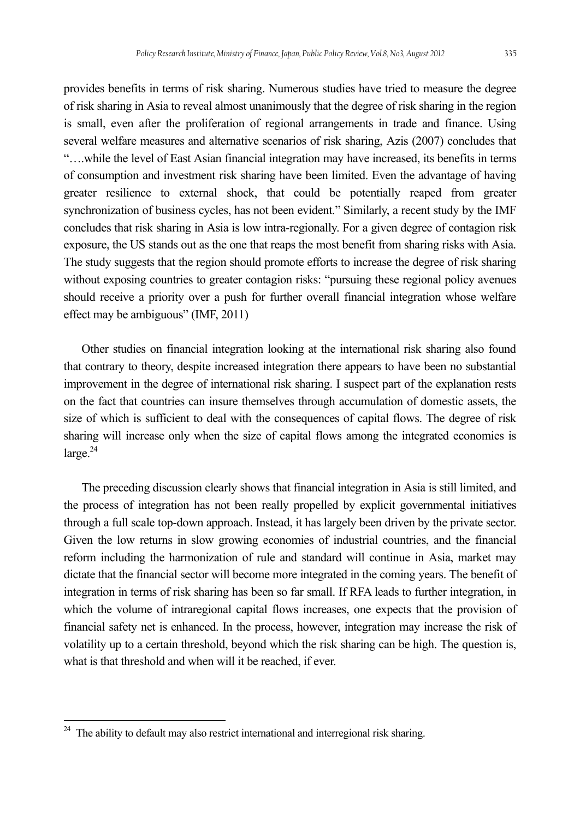provides benefits in terms of risk sharing. Numerous studies have tried to measure the degree of risk sharing in Asia to reveal almost unanimously that the degree of risk sharing in the region is small, even after the proliferation of regional arrangements in trade and finance. Using several welfare measures and alternative scenarios of risk sharing, Azis (2007) concludes that "….while the level of East Asian financial integration may have increased, its benefits in terms of consumption and investment risk sharing have been limited. Even the advantage of having greater resilience to external shock, that could be potentially reaped from greater synchronization of business cycles, has not been evident." Similarly, a recent study by the IMF concludes that risk sharing in Asia is low intra-regionally. For a given degree of contagion risk exposure, the US stands out as the one that reaps the most benefit from sharing risks with Asia. The study suggests that the region should promote efforts to increase the degree of risk sharing without exposing countries to greater contagion risks: "pursuing these regional policy avenues should receive a priority over a push for further overall financial integration whose welfare effect may be ambiguous" (IMF, 2011)

Other studies on financial integration looking at the international risk sharing also found that contrary to theory, despite increased integration there appears to have been no substantial improvement in the degree of international risk sharing. I suspect part of the explanation rests on the fact that countries can insure themselves through accumulation of domestic assets, the size of which is sufficient to deal with the consequences of capital flows. The degree of risk sharing will increase only when the size of capital flows among the integrated economies is  $\text{large.}^{24}$ 

The preceding discussion clearly shows that financial integration in Asia is still limited, and the process of integration has not been really propelled by explicit governmental initiatives through a full scale top-down approach. Instead, it has largely been driven by the private sector. Given the low returns in slow growing economies of industrial countries, and the financial reform including the harmonization of rule and standard will continue in Asia, market may dictate that the financial sector will become more integrated in the coming years. The benefit of integration in terms of risk sharing has been so far small. If RFA leads to further integration, in which the volume of intraregional capital flows increases, one expects that the provision of financial safety net is enhanced. In the process, however, integration may increase the risk of volatility up to a certain threshold, beyond which the risk sharing can be high. The question is, what is that threshold and when will it be reached, if ever.

 $24$  The ability to default may also restrict international and interregional risk sharing.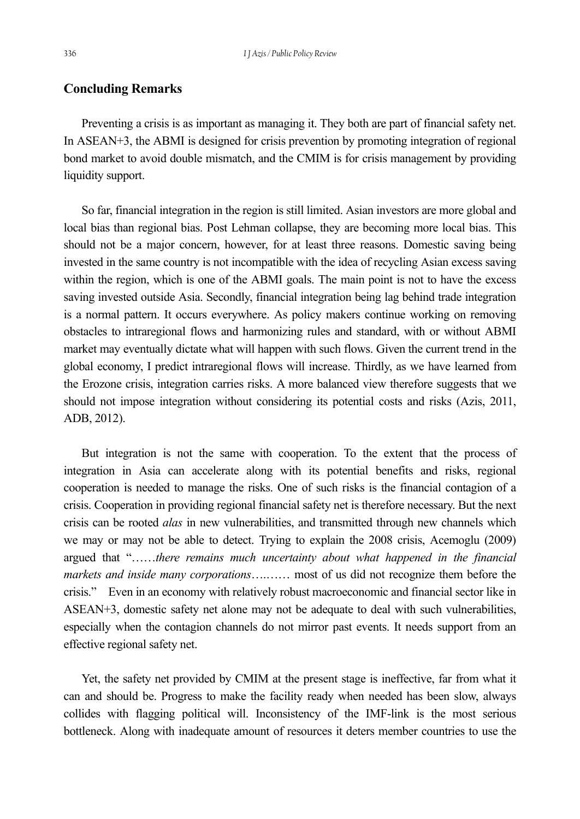#### **Concluding Remarks**

Preventing a crisis is as important as managing it. They both are part of financial safety net. In ASEAN+3, the ABMI is designed for crisis prevention by promoting integration of regional bond market to avoid double mismatch, and the CMIM is for crisis management by providing liquidity support.

So far, financial integration in the region is still limited. Asian investors are more global and local bias than regional bias. Post Lehman collapse, they are becoming more local bias. This should not be a major concern, however, for at least three reasons. Domestic saving being invested in the same country is not incompatible with the idea of recycling Asian excess saving within the region, which is one of the ABMI goals. The main point is not to have the excess saving invested outside Asia. Secondly, financial integration being lag behind trade integration is a normal pattern. It occurs everywhere. As policy makers continue working on removing obstacles to intraregional flows and harmonizing rules and standard, with or without ABMI market may eventually dictate what will happen with such flows. Given the current trend in the global economy, I predict intraregional flows will increase. Thirdly, as we have learned from the Erozone crisis, integration carries risks. A more balanced view therefore suggests that we should not impose integration without considering its potential costs and risks (Azis, 2011, ADB, 2012).

But integration is not the same with cooperation. To the extent that the process of integration in Asia can accelerate along with its potential benefits and risks, regional cooperation is needed to manage the risks. One of such risks is the financial contagion of a crisis. Cooperation in providing regional financial safety net is therefore necessary. But the next crisis can be rooted *alas* in new vulnerabilities, and transmitted through new channels which we may or may not be able to detect. Trying to explain the 2008 crisis, Acemoglu (2009) argued that "……*there remains much uncertainty about what happened in the financial markets and inside many corporations*….…… most of us did not recognize them before the crisis." Even in an economy with relatively robust macroeconomic and financial sector like in ASEAN+3, domestic safety net alone may not be adequate to deal with such vulnerabilities, especially when the contagion channels do not mirror past events. It needs support from an effective regional safety net.

Yet, the safety net provided by CMIM at the present stage is ineffective, far from what it can and should be. Progress to make the facility ready when needed has been slow, always collides with flagging political will. Inconsistency of the IMF-link is the most serious bottleneck. Along with inadequate amount of resources it deters member countries to use the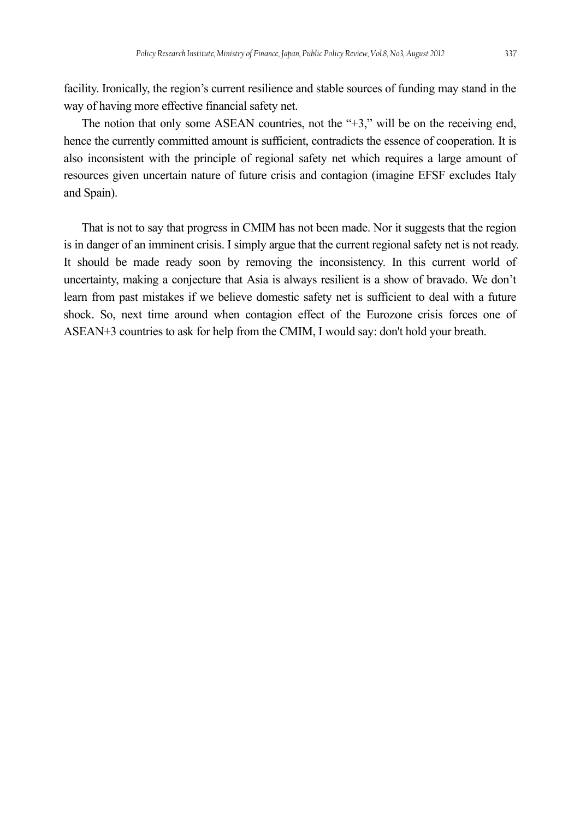facility. Ironically, the region's current resilience and stable sources of funding may stand in the way of having more effective financial safety net.

The notion that only some ASEAN countries, not the "+3," will be on the receiving end, hence the currently committed amount is sufficient, contradicts the essence of cooperation. It is also inconsistent with the principle of regional safety net which requires a large amount of resources given uncertain nature of future crisis and contagion (imagine EFSF excludes Italy and Spain).

That is not to say that progress in CMIM has not been made. Nor it suggests that the region is in danger of an imminent crisis. I simply argue that the current regional safety net is not ready. It should be made ready soon by removing the inconsistency. In this current world of uncertainty, making a conjecture that Asia is always resilient is a show of bravado. We don't learn from past mistakes if we believe domestic safety net is sufficient to deal with a future shock. So, next time around when contagion effect of the Eurozone crisis forces one of ASEAN+3 countries to ask for help from the CMIM, I would say: don't hold your breath.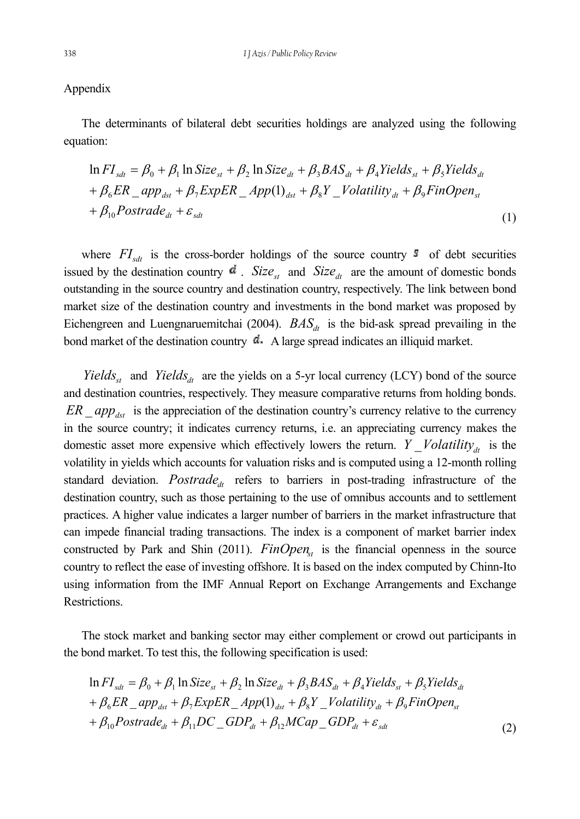#### Appendix

The determinants of bilateral debt securities holdings are analyzed using the following equation:

$$
\ln FI_{sdt} = \beta_0 + \beta_1 \ln Size_{st} + \beta_2 \ln Size_{dt} + \beta_3 BAS_{dt} + \beta_4 Yields_{st} + \beta_5 Yields_{dt}
$$
  
+  $\beta_6 ER \_app_{dst} + \beta_7 ExpER \_App(1)_{dst} + \beta_8 Y \_Volatility_{dt} + \beta_9 FinOpen_{st}$   
+  $\beta_{10} Postrade_{dt} + \varepsilon_{sdt}$  (1)

where  $FI_{sdt}$  is the cross-border holdings of the source country  $s$  of debt securities issued by the destination country  $\mathbf{d}$ . *Size*<sub>st</sub> and *Size*<sub>dt</sub> are the amount of domestic bonds outstanding in the source country and destination country, respectively. The link between bond market size of the destination country and investments in the bond market was proposed by Eichengreen and Luengnaruemitchai (2004).  $BAS_{dt}$  is the bid-ask spread prevailing in the bond market of the destination country  $\mathbf{d}$ . A large spread indicates an illiquid market.

*Yields<sub>st</sub>* and *Yields<sub>dt</sub>* are the yields on a 5-yr local currency (LCY) bond of the source and destination countries, respectively. They measure comparative returns from holding bonds.  $ER \text{sub}$  *app<sub>dst</sub>* is the appreciation of the destination country's currency relative to the currency in the source country; it indicates currency returns, i.e. an appreciating currency makes the domestic asset more expensive which effectively lowers the return. *Y Volatility<sub>dt</sub>* is the volatility in yields which accounts for valuation risks and is computed using a 12-month rolling standard deviation. *Postrade<sub>dt</sub>* refers to barriers in post-trading infrastructure of the destination country, such as those pertaining to the use of omnibus accounts and to settlement practices. A higher value indicates a larger number of barriers in the market infrastructure that can impede financial trading transactions. The index is a component of market barrier index constructed by Park and Shin (2011).  $FinOpen<sub>st</sub>$  is the financial openness in the source country to reflect the ease of investing offshore. It is based on the index computed by Chinn-Ito using information from the IMF Annual Report on Exchange Arrangements and Exchange Restrictions.

The stock market and banking sector may either complement or crowd out participants in the bond market. To test this, the following specification is used:

$$
\ln FI_{sdt} = \beta_0 + \beta_1 \ln Size_{st} + \beta_2 \ln Size_{dt} + \beta_3 BAS_{dt} + \beta_4 Yields_{st} + \beta_5 Yields_{dt}
$$
  
+  $\beta_6 ER \_app_{dst} + \beta_7 ExpER \_App(1)_{dst} + \beta_8 Y \_Volatility_{dt} + \beta_9 FinOpen_{st}$   
+  $\beta_{10} Postrade_{dt} + \beta_{11} DC \_GDP_{dt} + \beta_{12} MCap \_GDP_{dt} + \varepsilon_{sdt}$  (2)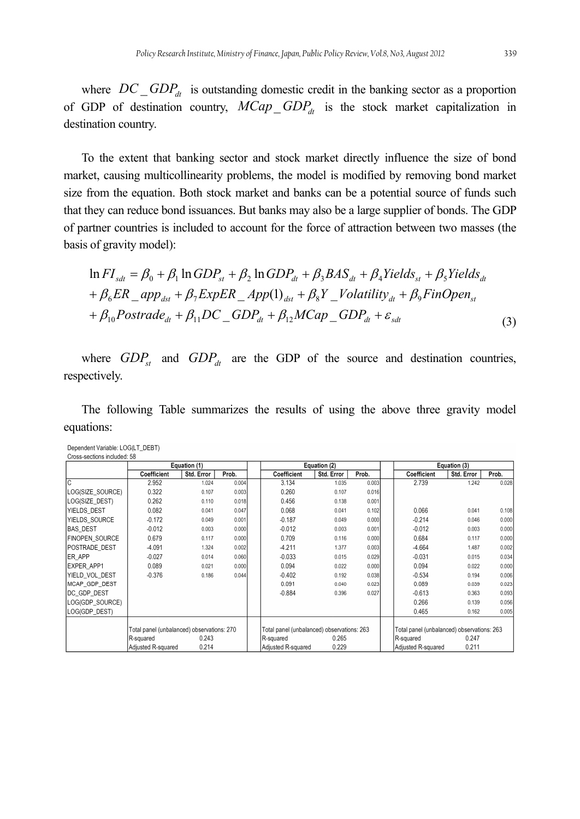where  $DC\_GDP_{dt}$  is outstanding domestic credit in the banking sector as a proportion of GDP of destination country,  $MCap\_GDP<sub>dt</sub>$  is the stock market capitalization in destination country.

To the extent that banking sector and stock market directly influence the size of bond market, causing multicollinearity problems, the model is modified by removing bond market size from the equation. Both stock market and banks can be a potential source of funds such that they can reduce bond issuances. But banks may also be a large supplier of bonds. The GDP of partner countries is included to account for the force of attraction between two masses (the basis of gravity model):

$$
\ln FI_{sdt} = \beta_0 + \beta_1 \ln GDP_{st} + \beta_2 \ln GDP_{dt} + \beta_3 BAS_{dt} + \beta_4 Yields_{st} + \beta_5 Yields_{dt}
$$
  
+  $\beta_6 ER \_app_{dst} + \beta_7 ExpER \_App(1)_{dst} + \beta_8 Y \_Volatility_{dt} + \beta_9 FinOpen_{st}$   
+  $\beta_{10} Postrade_{dt} + \beta_{11} DC \_GDP_{dt} + \beta_{12} MCap \_GDP_{dt} + \varepsilon_{sdt}$  (3)

where  $GDP_{st}$  and  $GDP_{dt}$  are the GDP of the source and destination countries, respectively.

The following Table summarizes the results of using the above three gravity model equations:

| Dependent Variable: LOG(LT_DEBT) |
|----------------------------------|
| Cross-sections included: 58      |

|                   | Equation (1)                               |            |        | Equation (2)                               |            |        |                                            | Equation (3) |       |
|-------------------|--------------------------------------------|------------|--------|--------------------------------------------|------------|--------|--------------------------------------------|--------------|-------|
|                   | Coefficient                                | Std. Error | Prob.  | Coefficient                                | Std. Error | Prob.  | Coefficient                                | Std. Error   | Prob. |
| C                 | 2.952                                      | 1.024      | 0.004  | 3.134                                      | 1.035      | 0.003  | 2.739                                      | 1.242        | 0.028 |
| LOG(SIZE SOURCE)  | 0.322                                      | 0.107      | 0.003  | 0.260                                      | 0.107      | 0.016  |                                            |              |       |
| LOG(SIZE DEST)    | 0.262                                      | 0.110      | 0.018  | 0.456                                      | 0.138      | 0.001  |                                            |              |       |
| YIELDS DEST       | 0.082                                      | 0.041      | 0.047  | 0.068                                      | 0.041      | 0.102  | 0.066                                      | 0.041        | 0.108 |
| YIELDS SOURCE     | $-0.172$                                   | 0.049      | 0.001  | $-0.187$                                   | 0.049      | 0.000  | $-0.214$                                   | 0.046        | 0.000 |
| <b>BAS_DEST</b>   | $-0.012$                                   | 0.003      | 0.0001 | $-0.012$                                   | 0.003      | 0.001  | $-0.012$                                   | 0.003        | 0.000 |
| FINOPEN SOURCE    | 0.679                                      | 0.117      | 0.000  | 0.709                                      | 0.116      | 0.0001 | 0.684                                      | 0.117        | 0.000 |
| POSTRADE DEST     | $-4.091$                                   | 1.324      | 0.002  | $-4.211$                                   | 1.377      | 0.003  | $-4.664$                                   | 1.487        | 0.002 |
| ER APP            | $-0.027$                                   | 0.014      | 0.060  | $-0.033$                                   | 0.015      | 0.029  | $-0.031$                                   | 0.015        | 0.034 |
| <b>EXPER APP1</b> | 0.089                                      | 0.021      | 0.0001 | 0.094                                      | 0.022      | 0.0001 | 0.094                                      | 0.022        | 0.000 |
| YIELD VOL DEST    | $-0.376$                                   | 0.186      | 0.044  | $-0.402$                                   | 0.192      | 0.038  | $-0.534$                                   | 0.194        | 0.006 |
| MCAP_GDP_DEST     |                                            |            |        | 0.091                                      | 0.040      | 0.023  | 0.089                                      | 0.039        | 0.023 |
| IDC GDP DEST      |                                            |            |        | $-0.884$                                   | 0.396      | 0.027  | $-0.613$                                   | 0.363        | 0.093 |
| LOG(GDP SOURCE)   |                                            |            |        |                                            |            |        | 0.266                                      | 0.139        | 0.056 |
| LOG(GDP_DEST)     |                                            |            |        |                                            |            |        | 0.465                                      | 0.162        | 0.005 |
|                   | Total panel (unbalanced) observations: 270 |            |        | Total panel (unbalanced) observations: 263 |            |        | Total panel (unbalanced) observations: 263 |              |       |
|                   | R-squared                                  | 0.243      |        | R-squared                                  | 0.265      |        | R-squared                                  | 0.247        |       |
|                   | Adjusted R-squared                         | 0.214      |        | Adjusted R-squared                         | 0.229      |        | Adjusted R-squared                         | 0.211        |       |